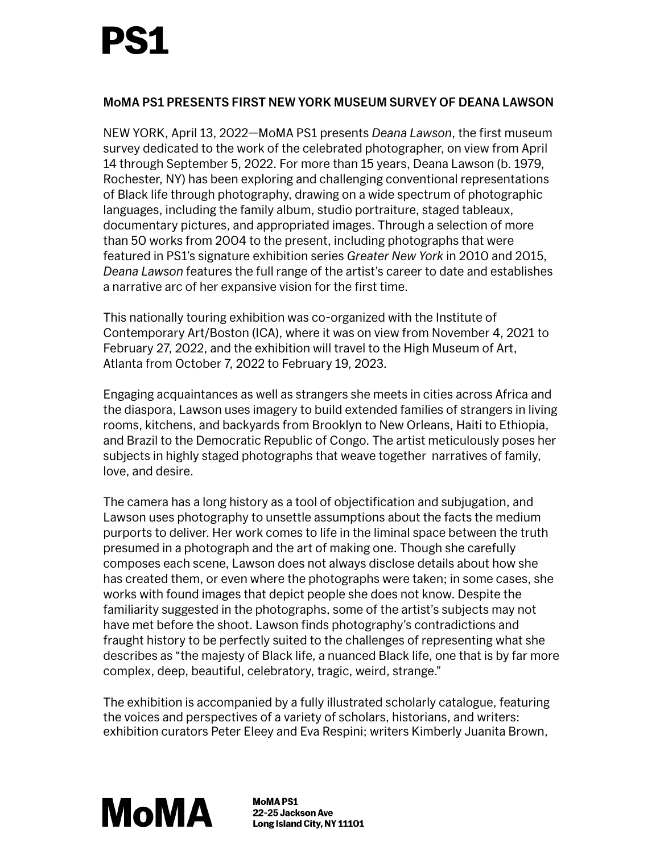# PS1

#### MoMA PS1 PRESENTS FIRST NEW YORK MUSEUM SURVEY OF DEANA LAWSON

NEW YORK, April 13, 2022—MoMA PS1 presents *Deana Lawson*, the first museum survey dedicated to the work of the [celebrated](https://www.icaboston.org/exhibitions/deana-lawson) photographer, on view from April 14 through September 5, 2022. For more than 15 years, Deana Lawson (b. 1979, Rochester, NY) has been exploring and challenging conventional representations of Black life through photography, drawing on a wide spectrum of photographic languages, including the family album, studio portraiture, staged tableaux, documentary pictures, and appropriated images. Through a selection of more than 50 works from 2004 to the present, including photographs that were featured in PS1's signature exhibition series *Greater New York* in 2010 and 2015, *Deana Lawson* features the full range of the artist's career to date and establishes a narrative arc of her expansive vision for the first time.

This nationally touring exhibition was co-organized with the Institute of Contemporary Art/Boston (ICA), where it was on view from November 4, 2021 to February 27, 2022, and the exhibition will travel to the High Museum of Art, Atlanta from October 7, 2022 to February 19, 2023.

Engaging acquaintances as well as strangers she meets in cities across Africa and the diaspora, Lawson uses imagery to build extended families of strangers in living rooms, kitchens, and backyards from Brooklyn to New Orleans, Haiti to Ethiopia, and Brazil to the Democratic Republic of Congo. The artist meticulously poses her subjects in highly staged photographs that weave together narratives of family, love, and desire.

The camera has a long history as a tool of objectification and subjugation, and Lawson uses photography to unsettle assumptions about the facts the medium purports to deliver. Her work comes to life in the liminal space between the truth presumed in a photograph and the art of making one. Though she carefully composes each scene, Lawson does not always disclose details about how she has created them, or even where the photographs were taken; in some cases, she works with found images that depict people she does not know. Despite the familiarity suggested in the photographs, some of the artist's subjects may not have met before the shoot. Lawson finds photography's contradictions and fraught history to be perfectly suited to the challenges of representing what she describes as "the majesty of Black life, a nuanced Black life, one that is by far more complex, deep, beautiful, celebratory, tragic, weird, strange."

The exhibition is accompanied by a fully illustrated scholarly catalogue, featuring the voices and perspectives of a variety of scholars, historians, and writers: exhibition curators Peter Eleey and Eva Respini; writers Kimberly Juanita Brown,



**MoMAPS1** 22-25 Jackson Ave Long Island City, NY 11101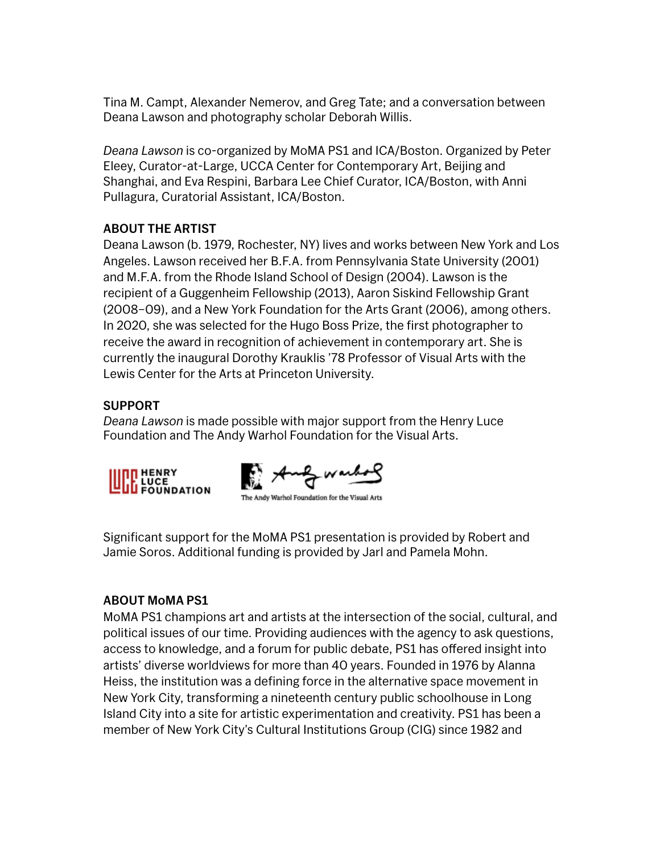Tina M. Campt, Alexander Nemerov, and Greg Tate; and a conversation between Deana Lawson and photography scholar Deborah Willis.

*Deana Lawson* is co-organized by MoMA PS1 and ICA/Boston. Organized by Peter Eleey, Curator-at-Large, UCCA Center for Contemporary Art, Beijing and Shanghai, and Eva Respini, Barbara Lee Chief Curator, ICA/Boston, with Anni Pullagura, Curatorial Assistant, ICA/Boston.

### ABOUT THE ARTIST

Deana Lawson (b. 1979, Rochester, NY) lives and works between New York and Los Angeles. Lawson received her B.F.A. from Pennsylvania State University (2001) and M.F.A. from the Rhode Island School of Design (2004). Lawson is the recipient of a Guggenheim Fellowship (2013), Aaron Siskind Fellowship Grant (2008–09), and a New York Foundation for the Arts Grant (2006), among others. In 2020, she was selected for the Hugo Boss Prize, the first photographer to receive the award in recognition of achievement in contemporary art. She is currently the inaugural Dorothy Krauklis '78 Professor of Visual Arts with the Lewis Center for the Arts at Princeton University.

## SUPPORT

*Deana Lawson* is made possible with major support from the Henry Luce Foundation and The Andy Warhol Foundation for the Visual Arts.



The Andy Warhol Foundation for the Visual Arts

Significant support for the MoMA PS1 presentation is provided by Robert and Jamie Soros. Additional funding is provided by Jarl and Pamela Mohn.

### ABOUT MoMA PS1

MoMA PS1 champions art and artists at the intersection of the social, cultural, and political issues of our time. Providing audiences with the agency to ask questions, access to knowledge, and a forum for public debate, PS1 has offered insight into artists' diverse worldviews for more than 40 years. Founded in 1976 by Alanna Heiss, the institution was a defining force in the alternative space movement in New York City, transforming a nineteenth century public schoolhouse in Long Island City into a site for artistic experimentation and creativity. PS1 has been a member of New York City's Cultural Institutions Group (CIG) since 1982 and